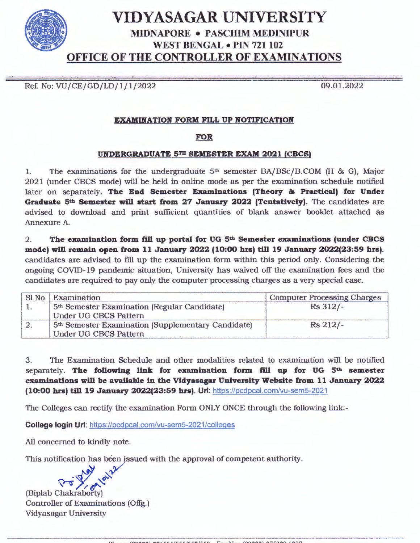

Ref. No: VU/CE/GD/LD/1/1/2022

09.01.2022

## **EXAMINATION FORM FILL UP NOTIFICATION**

## **FOR**

## **UNDERGRADUATE 5TH SEMESTER EXAM 2021 (CBCS)**

1. The examinations for the undergraduate  $5<sup>th</sup>$  semester BA/BSc/B.COM (H & G), Major 2021 (under CBCS mode) will be held in online mode as per the examination schedule notified later on separately. **The End Semester Examinations (Theory & Practical) for Under Graduate 5th Semester will start from 27 January 2022 (Tentatively).** The candidates are advised to download and print sufficient quantities of blank answer booklet attached as Annexure A.

2 . **The examination form fill up portal for UG 5th Semester examinations (under CBCS mode) will remain open from 11 January 2022 (10:00 hrs) till 19 January 2022(23:59 hrs).**  candidates are advised to fill up the examination form within this period only. Considering the ongoing COVID- 19 pandemic situation, University has waived off the examination fees and the candidates are required to pay only the computer processing charges as a very special case.

| Sl No | Examination                                                    | <b>Computer Processing Charges</b> |  |  |  |
|-------|----------------------------------------------------------------|------------------------------------|--|--|--|
|       | 5 <sup>th</sup> Semester Examination (Regular Candidate)       | Rs 312/-                           |  |  |  |
|       | <b>Under UG CBCS Pattern</b>                                   |                                    |  |  |  |
|       | 5 <sup>th</sup> Semester Examination (Supplementary Candidate) | $Rs$ 212/-                         |  |  |  |
|       | Under UG CBCS Pattern                                          |                                    |  |  |  |

3. The Examination Schedule and other modalities related to examination will be notified separately. **The following link for examination form fill up for UG 5th semester examinations will be available in the Vidyasagar University Website from 11 January 2022 (10:00 hrs) till 19 January 2022(23:59 hrs). Uri:** https://pcdpcal.com/vu-semS-2021

The Colleges can rectify the examination Form ONLY ONCE through the following link:-

**College login Uri:** https://pcdpcal.com/vu-semS-2021/colleges

All concerned to kindly note.

This notification has been issued with the approval of competent authority.



(Biplab Chakrabotty) Controller of Examinations (Offg.) Vidyasagar University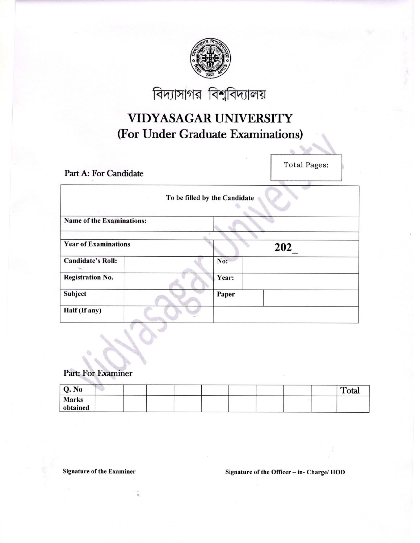

বিদ্যাসাগর বিশ্ববিদ্যালয়

## VIDYASAGAR UNIVERSITY (For Under Graduate Examinations)

Part A: For Candidate

**Total Pages:** 

| To be filled by the Candidate    |  |       |     |  |  |  |  |  |  |
|----------------------------------|--|-------|-----|--|--|--|--|--|--|
| <b>Name of the Examinations:</b> |  |       |     |  |  |  |  |  |  |
| <b>Year of Examinations</b>      |  |       | 202 |  |  |  |  |  |  |
| <b>Candidate's Roll:</b>         |  | No:   |     |  |  |  |  |  |  |
| <b>Registration No.</b>          |  | Year: |     |  |  |  |  |  |  |
| Subject                          |  | Paper |     |  |  |  |  |  |  |
| Half (If any)                    |  |       |     |  |  |  |  |  |  |

Part: For Examiner

| Q. No                    |  |  |  |  | Total |
|--------------------------|--|--|--|--|-------|
| <b>Marks</b><br>obtained |  |  |  |  |       |

**Signature of the Examiner** 

Signature of the Officer - in- Charge/ HOD